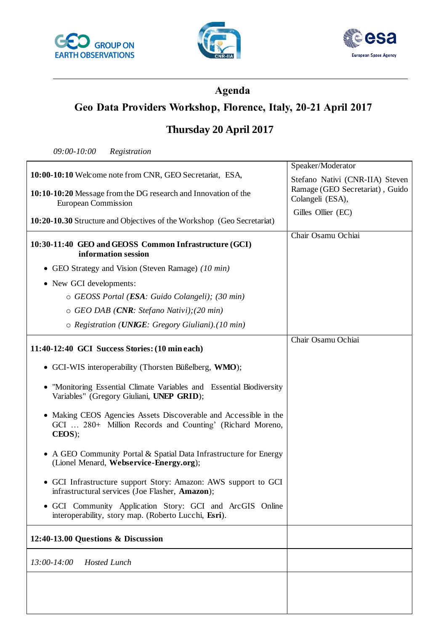





# **Agenda**

# **Geo Data Providers Workshop, Florence, Italy, 20-21 April 2017**

### **Thursday 20 April 2017**

*09:00-10:00 Registration*

|                                                                                                                                        | Speaker/Moderator               |
|----------------------------------------------------------------------------------------------------------------------------------------|---------------------------------|
| 10:00-10:10 Welcome note from CNR, GEO Secretariat, ESA,                                                                               | Stefano Nativi (CNR-IIA) Steven |
| 10:10-10:20 Message from the DG research and Innovation of the                                                                         | Ramage (GEO Secretariat), Guido |
| <b>European Commission</b>                                                                                                             | Colangeli (ESA),                |
| 10:20-10.30 Structure and Objectives of the Workshop (Geo Secretariat)                                                                 | Gilles Ollier (EC)              |
|                                                                                                                                        |                                 |
| 10:30-11:40 GEO and GEOSS Common Infrastructure (GCI)<br>information session                                                           | Chair Osamu Ochiai              |
| • GEO Strategy and Vision (Steven Ramage) (10 min)                                                                                     |                                 |
| • New GCI developments:                                                                                                                |                                 |
| o GEOSS Portal (ESA: Guido Colangeli); (30 min)                                                                                        |                                 |
| $\circ$ GEO DAB (CNR: Stefano Nativi); (20 min)                                                                                        |                                 |
| $\circ$ Registration (UNIGE: Gregory Giuliani). (10 min)                                                                               |                                 |
|                                                                                                                                        | Chair Osamu Ochiai              |
| 11:40-12:40 GCI Success Stories: (10 min each)                                                                                         |                                 |
| • GCI-WIS interoperability (Thorsten Büßelberg, WMO);                                                                                  |                                 |
| "Monitoring Essential Climate Variables and Essential Biodiversity<br>Variables" (Gregory Giuliani, UNEP GRID);                        |                                 |
| • Making CEOS Agencies Assets Discoverable and Accessible in the<br>GCI  280+ Million Records and Counting' (Richard Moreno,<br>CEOS); |                                 |
| • A GEO Community Portal & Spatial Data Infrastructure for Energy<br>(Lionel Menard, Webservice-Energy.org);                           |                                 |
| • GCI Infrastructure support Story: Amazon: AWS support to GCI<br>infrastructural services (Joe Flasher, Amazon);                      |                                 |
| • GCI Community Application Story: GCI and ArcGIS Online<br>interoperability, story map. (Roberto Lucchi, Esri).                       |                                 |
| 12:40-13.00 Questions & Discussion                                                                                                     |                                 |
| $13:00 - 14:00$<br><b>Hosted Lunch</b>                                                                                                 |                                 |
|                                                                                                                                        |                                 |
|                                                                                                                                        |                                 |
|                                                                                                                                        |                                 |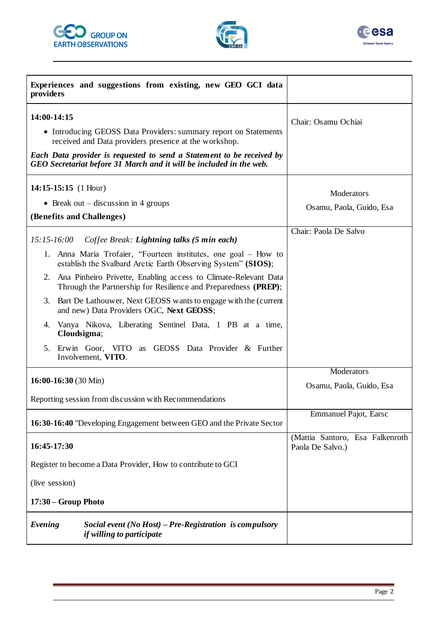





| Experiences and suggestions from existing, new GEO GCI data<br>providers                                                                                                                                                                                                                                                                                                                                                                                                                                                                                                                                                       |                                                                                      |
|--------------------------------------------------------------------------------------------------------------------------------------------------------------------------------------------------------------------------------------------------------------------------------------------------------------------------------------------------------------------------------------------------------------------------------------------------------------------------------------------------------------------------------------------------------------------------------------------------------------------------------|--------------------------------------------------------------------------------------|
| 14:00-14:15<br>• Introducing GEOSS Data Providers: summary report on Statements<br>received and Data providers presence at the workshop.<br>Each Data provider is requested to send a Statement to be received by<br>GEO Secretariat before 31 March and it will be included in the web.                                                                                                                                                                                                                                                                                                                                       | Chair: Osamu Ochiai                                                                  |
| 14:15-15:15 $(1$ Hour)<br>• Break out – discussion in 4 groups<br>(Benefits and Challenges)                                                                                                                                                                                                                                                                                                                                                                                                                                                                                                                                    | Moderators<br>Osamu, Paola, Guido, Esa                                               |
| $15:15-16:00$<br>Coffee Break: Lightning talks (5 min each)<br>1. Anna Maria Trofaier, "Fourteen institutes, one goal – How to<br>establish the Svalbard Arctic Earth Observing System" (SIOS);<br>Ana Pinheiro Privette, Enabling access to Climate-Relevant Data<br>2.<br>Through the Partnership for Resilience and Preparedness (PREP);<br>3. Bart De Lathouwer, Next GEOSS wants to engage with the (current<br>and new) Data Providers OGC, Next GEOSS;<br>Vanya Nikova, Liberating Sentinel Data, 1 PB at a time,<br>4.<br>Cloudsigma;<br>Erwin Goor, VITO as GEOSS Data Provider & Further<br>5.<br>Involvement, VITO. | Chair: Paola De Salvo                                                                |
| $16:00-16:30(30 \text{ Min})$<br>Reporting session from discussion with Recommendations                                                                                                                                                                                                                                                                                                                                                                                                                                                                                                                                        | Moderators<br>Osamu, Paola, Guido, Esa                                               |
| 16:30-16:40 "Developing Engagement between GEO and the Private Sector<br>16:45-17:30                                                                                                                                                                                                                                                                                                                                                                                                                                                                                                                                           | <b>Emmanuel Pajot</b> , Earsc<br>(Mattia Santoro, Esa Falkenroth<br>Paola De Salvo.) |
| Register to become a Data Provider, How to contribute to GCI<br>(live session)<br>17:30 – Group Photo                                                                                                                                                                                                                                                                                                                                                                                                                                                                                                                          |                                                                                      |
| Evening<br>Social event (No Host) – Pre-Registration is compulsory<br>if willing to participate                                                                                                                                                                                                                                                                                                                                                                                                                                                                                                                                |                                                                                      |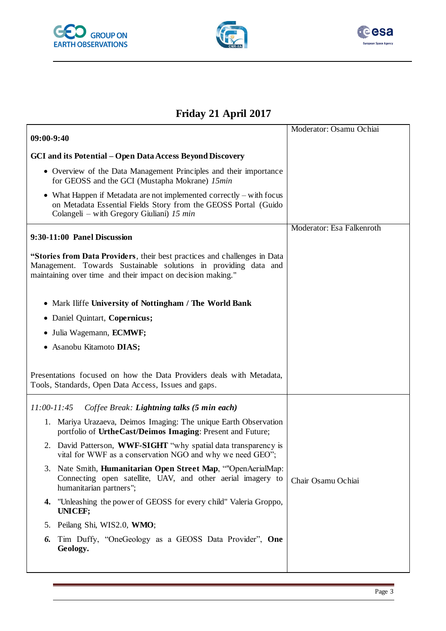





# **Friday 21 April 2017**

| $09:00-9:40$                                                                                                                                                                                                | Moderator: Osamu Ochiai   |
|-------------------------------------------------------------------------------------------------------------------------------------------------------------------------------------------------------------|---------------------------|
| <b>GCI</b> and its Potential – Open Data Access Beyond Discovery                                                                                                                                            |                           |
| • Overview of the Data Management Principles and their importance<br>for GEOSS and the GCI (Mustapha Mokrane) 15min                                                                                         |                           |
| • What Happen if Metadata are not implemented correctly $-$ with focus<br>on Metadata Essential Fields Story from the GEOSS Portal (Guido<br>Colangeli – with Gregory Giuliani) 15 min                      |                           |
| 9:30-11:00 Panel Discussion                                                                                                                                                                                 | Moderator: Esa Falkenroth |
| "Stories from Data Providers, their best practices and challenges in Data<br>Management. Towards Sustainable solutions in providing data and<br>maintaining over time and their impact on decision making." |                           |
| • Mark Iliffe University of Nottingham / The World Bank                                                                                                                                                     |                           |
| Daniel Quintart, Copernicus;<br>$\bullet$                                                                                                                                                                   |                           |
| • Julia Wagemann, ECMWF;                                                                                                                                                                                    |                           |
| • Asanobu Kitamoto DIAS;                                                                                                                                                                                    |                           |
| Presentations focused on how the Data Providers deals with Metadata,<br>Tools, Standards, Open Data Access, Issues and gaps.                                                                                |                           |
| $11:00-11:45$<br>Coffee Break: Lightning talks (5 min each)                                                                                                                                                 |                           |
| 1. Mariya Urazaeva, Deimos Imaging: The unique Earth Observation<br>portfolio of UrtheCast/Deimos Imaging: Present and Future;                                                                              |                           |
| 2. David Patterson, WWF-SIGHT "why spatial data transparency is<br>vital for WWF as a conservation NGO and why we need GEO";                                                                                |                           |
| 3. Nate Smith, Humanitarian Open Street Map, ""OpenAerialMap:<br>Connecting open satellite, UAV, and other aerial imagery to<br>humanitarian partners";                                                     | Chair Osamu Ochiai        |
| 4. "Unleashing the power of GEOSS for every child" Valeria Groppo,<br>UNICEF;                                                                                                                               |                           |
| Peilang Shi, WIS2.0, WMO;<br>5.                                                                                                                                                                             |                           |
| Tim Duffy, "OneGeology as a GEOSS Data Provider", One<br>6.<br>Geology.                                                                                                                                     |                           |
|                                                                                                                                                                                                             |                           |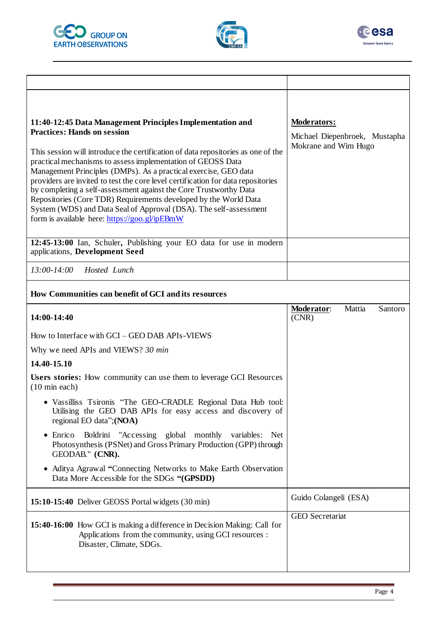





| 11:40-12:45 Data Management Principles Implementation and<br><b>Practices: Hands on session</b><br>This session will introduce the certification of data repositories as one of the<br>practical mechanisms to assess implementation of GEOSS Data<br>Management Principles (DMPs). As a practical exercise, GEO data<br>providers are invited to test the core level certification for data repositories<br>by completing a self-assessment against the Core Trustworthy Data<br>Repositories (Core TDR) Requirements developed by the World Data<br>System (WDS) and Data Seal of Approval (DSA). The self-assessment<br>form is available here: https://goo.gl/ipEBmW | <b>Moderators:</b><br>Michael Diepenbroek, Mustapha<br>Mokrane and Wim Hugo |  |  |
|--------------------------------------------------------------------------------------------------------------------------------------------------------------------------------------------------------------------------------------------------------------------------------------------------------------------------------------------------------------------------------------------------------------------------------------------------------------------------------------------------------------------------------------------------------------------------------------------------------------------------------------------------------------------------|-----------------------------------------------------------------------------|--|--|
| 12:45-13:00 Ian, Schuler, Publishing your EO data for use in modern<br>applications, Development Seed                                                                                                                                                                                                                                                                                                                                                                                                                                                                                                                                                                    |                                                                             |  |  |
| $13:00 - 14:00$<br>Hosted Lunch                                                                                                                                                                                                                                                                                                                                                                                                                                                                                                                                                                                                                                          |                                                                             |  |  |
| How Communities can benefit of GCI and its resources                                                                                                                                                                                                                                                                                                                                                                                                                                                                                                                                                                                                                     |                                                                             |  |  |
| 14:00-14:40                                                                                                                                                                                                                                                                                                                                                                                                                                                                                                                                                                                                                                                              | Mattia<br>Santoro<br>Moderator:<br>(CNR)                                    |  |  |
| How to Interface with GCI - GEO DAB APIs-VIEWS                                                                                                                                                                                                                                                                                                                                                                                                                                                                                                                                                                                                                           |                                                                             |  |  |
| Why we need APIs and VIEWS? 30 min                                                                                                                                                                                                                                                                                                                                                                                                                                                                                                                                                                                                                                       |                                                                             |  |  |
| 14.40-15.10                                                                                                                                                                                                                                                                                                                                                                                                                                                                                                                                                                                                                                                              |                                                                             |  |  |
| Users stories: How community can use them to leverage GCI Resources<br>$(10 \text{ min each})$                                                                                                                                                                                                                                                                                                                                                                                                                                                                                                                                                                           |                                                                             |  |  |
| · Vassilliss Tsironis "The GEO-CRADLE Regional Data Hub tool:<br>Utilising the GEO DAB APIs for easy access and discovery of<br>regional EO data"; (NOA)                                                                                                                                                                                                                                                                                                                                                                                                                                                                                                                 |                                                                             |  |  |
| Boldrini "Accessing global monthly variables: Net<br>Enrico<br>Photosynthesis (PSNet) and Gross Primary Production (GPP) through<br>GEODAB." (CNR).                                                                                                                                                                                                                                                                                                                                                                                                                                                                                                                      |                                                                             |  |  |
| • Aditya Agrawal "Connecting Networks to Make Earth Observation<br>Data More Accessible for the SDGs "(GPSDD)                                                                                                                                                                                                                                                                                                                                                                                                                                                                                                                                                            |                                                                             |  |  |
| 15:10-15:40 Deliver GEOSS Portal widgets (30 min)                                                                                                                                                                                                                                                                                                                                                                                                                                                                                                                                                                                                                        | Guido Colangeli (ESA)                                                       |  |  |
| <b>15:40-16:00</b> How GCI is making a difference in Decision Making: Call for<br>Applications from the community, using GCI resources :<br>Disaster, Climate, SDGs.                                                                                                                                                                                                                                                                                                                                                                                                                                                                                                     | <b>GEO</b> Secretariat                                                      |  |  |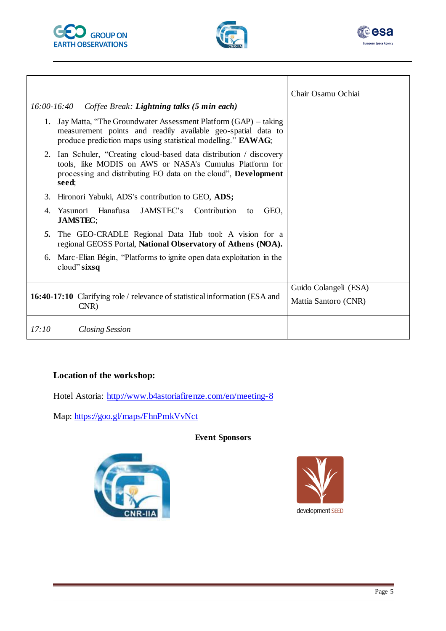



Τ



٦

|               |                                                                                                                                                                                                               | Chair Osamu Ochiai    |
|---------------|---------------------------------------------------------------------------------------------------------------------------------------------------------------------------------------------------------------|-----------------------|
| $16:00-16:40$ | Coffee Break: Lightning talks (5 min each)                                                                                                                                                                    |                       |
| 1.            | Jay Matta, "The Groundwater Assessment Platform (GAP) – taking<br>measurement points and readily available geo-spatial data to<br>produce prediction maps using statistical modelling." EAWAG;                |                       |
| 2.            | Ian Schuler, "Creating cloud-based data distribution / discovery<br>tools, like MODIS on AWS or NASA's Cumulus Platform for<br>processing and distributing EO data on the cloud", <b>Development</b><br>seed: |                       |
| 3.            | Hironori Yabuki, ADS's contribution to GEO, ADS;                                                                                                                                                              |                       |
| 4.            | Hanafusa<br>JAMSTEC's<br>Yasunori<br>Contribution<br>GEO,<br>to<br><b>JAMSTEC;</b>                                                                                                                            |                       |
| 5.            | The GEO-CRADLE Regional Data Hub tool: A vision for a<br>regional GEOSS Portal, National Observatory of Athens (NOA).                                                                                         |                       |
| 6.            | Marc-Elian Bégin, "Platforms to ignite open data exploitation in the<br>$cloud$ " sixsq                                                                                                                       |                       |
|               |                                                                                                                                                                                                               | Guido Colangeli (ESA) |
|               | <b>16:40-17:10</b> Clarifying role / relevance of statistical information (ESA and<br>CNR)                                                                                                                    | Mattia Santoro (CNR)  |
| 17:10         | <b>Closing Session</b>                                                                                                                                                                                        |                       |

### **Location of the workshop:**

Hotel Astoria:<http://www.b4astoriafirenze.com/en/meeting-8>

Map:<https://goo.gl/maps/FhnPmkVvNct>

#### **Event Sponsors**